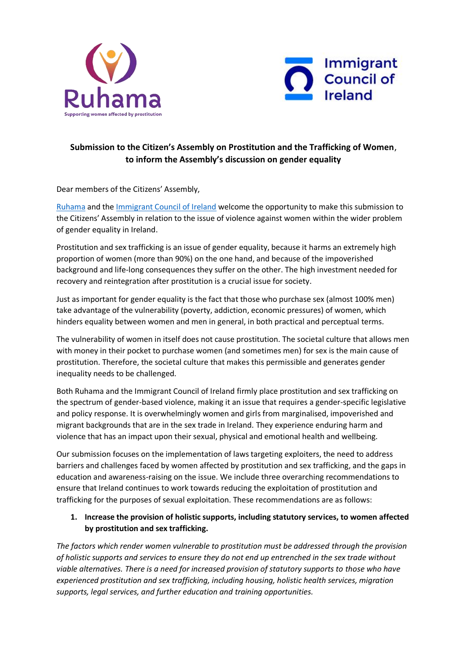



# **Submission to the Citizen's Assembly on Prostitution and the Trafficking of Women**, **to inform the Assembly's discussion on gender equality**

Dear members of the Citizens' Assembly,

[Ruhama](https://www.ruhama.ie/) and the [Immigrant Council of Ireland](https://www.immigrantcouncil.ie/) welcome the opportunity to make this submission to the Citizens' Assembly in relation to the issue of violence against women within the wider problem of gender equality in Ireland.

Prostitution and sex trafficking is an issue of gender equality, because it harms an extremely high proportion of women (more than 90%) on the one hand, and because of the impoverished background and life-long consequences they suffer on the other. The high investment needed for recovery and reintegration after prostitution is a crucial issue for society.

Just as important for gender equality is the fact that those who purchase sex (almost 100% men) take advantage of the vulnerability (poverty, addiction, economic pressures) of women, which hinders equality between women and men in general, in both practical and perceptual terms.

The vulnerability of women in itself does not cause prostitution. The societal culture that allows men with money in their pocket to purchase women (and sometimes men) for sex is the main cause of prostitution. Therefore, the societal culture that makes this permissible and generates gender inequality needs to be challenged.

Both Ruhama and the Immigrant Council of Ireland firmly place prostitution and sex trafficking on the spectrum of gender-based violence, making it an issue that requires a gender-specific legislative and policy response. It is overwhelmingly women and girls from marginalised, impoverished and migrant backgrounds that are in the sex trade in Ireland. They experience enduring harm and violence that has an impact upon their sexual, physical and emotional health and wellbeing.

Our submission focuses on the implementation of laws targeting exploiters, the need to address barriers and challenges faced by women affected by prostitution and sex trafficking, and the gaps in education and awareness-raising on the issue. We include three overarching recommendations to ensure that Ireland continues to work towards reducing the exploitation of prostitution and trafficking for the purposes of sexual exploitation. These recommendations are as follows:

## **1. Increase the provision of holistic supports, including statutory services, to women affected by prostitution and sex trafficking.**

*The factors which render women vulnerable to prostitution must be addressed through the provision of holistic supports and services to ensure they do not end up entrenched in the sex trade without viable alternatives. There is a need for increased provision of statutory supports to those who have experienced prostitution and sex trafficking, including housing, holistic health services, migration supports, legal services, and further education and training opportunities.*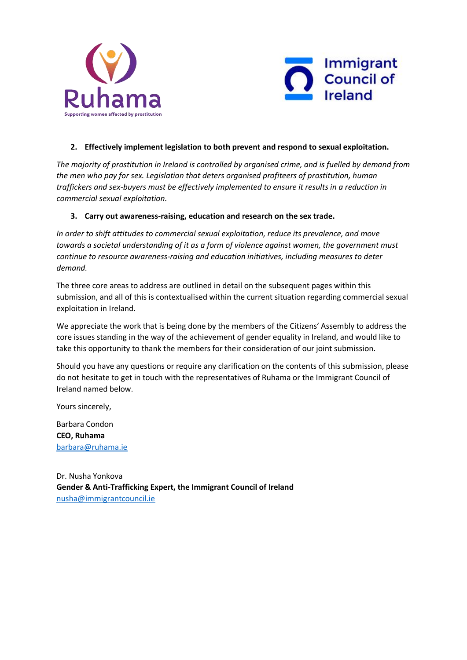



### **2. Effectively implement legislation to both prevent and respond to sexual exploitation.**

*The majority of prostitution in Ireland is controlled by organised crime, and is fuelled by demand from the men who pay for sex. Legislation that deters organised profiteers of prostitution, human traffickers and sex-buyers must be effectively implemented to ensure it results in a reduction in commercial sexual exploitation.*

#### **3. Carry out awareness-raising, education and research on the sex trade.**

*In order to shift attitudes to commercial sexual exploitation, reduce its prevalence, and move towards a societal understanding of it as a form of violence against women, the government must continue to resource awareness-raising and education initiatives, including measures to deter demand.* 

The three core areas to address are outlined in detail on the subsequent pages within this submission, and all of this is contextualised within the current situation regarding commercial sexual exploitation in Ireland.

We appreciate the work that is being done by the members of the Citizens' Assembly to address the core issues standing in the way of the achievement of gender equality in Ireland, and would like to take this opportunity to thank the members for their consideration of our joint submission.

Should you have any questions or require any clarification on the contents of this submission, please do not hesitate to get in touch with the representatives of Ruhama or the Immigrant Council of Ireland named below.

Yours sincerely,

Barbara Condon **CEO, Ruhama**  [barbara@ruhama.ie](mailto:barbara@ruhama.ie)

Dr. Nusha Yonkova **Gender & Anti-Trafficking Expert, the Immigrant Council of Ireland** [nusha@immigrantcouncil.ie](mailto:nusha@immigrantcouncil.ie)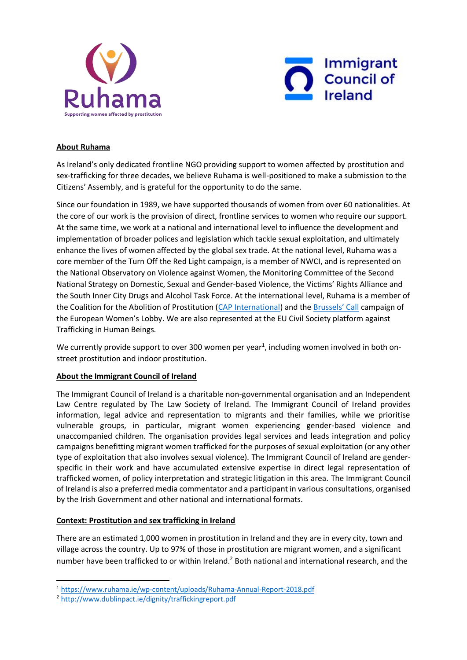



## **About Ruhama**

As Ireland's only dedicated frontline NGO providing support to women affected by prostitution and sex-trafficking for three decades, we believe Ruhama is well-positioned to make a submission to the Citizens' Assembly, and is grateful for the opportunity to do the same.

Since our foundation in 1989, we have supported thousands of women from over 60 nationalities. At the core of our work is the provision of direct, frontline services to women who require our support. At the same time, we work at a national and international level to influence the development and implementation of broader polices and legislation which tackle sexual exploitation, and ultimately enhance the lives of women affected by the global sex trade. At the national level, Ruhama was a core member of the Turn Off the Red Light campaign, is a member of NWCI, and is represented on the National Observatory on Violence against Women, the Monitoring Committee of the Second National Strategy on Domestic, Sexual and Gender-based Violence, the Victims' Rights Alliance and the South Inner City Drugs and Alcohol Task Force. At the international level, Ruhama is a member of the Coalition for the Abolition of Prostitution [\(CAP International\)](http://www.cap-international.org/) and the [Brussels' Ca](https://www.womenlobby.org/-the-brussels-call-together-for-a-?lang=en)ll campaign of the European Women's Lobby. We are also represented at the EU Civil Society platform against Trafficking in Human Beings.

We currently provide support to over 300 women per year<sup>1</sup>, including women involved in both onstreet prostitution and indoor prostitution.

#### **About the Immigrant Council of Ireland**

The Immigrant Council of Ireland is a charitable non-governmental organisation and an Independent Law Centre regulated by The Law Society of Ireland. The Immigrant Council of Ireland provides information, legal advice and representation to migrants and their families, while we prioritise vulnerable groups, in particular, migrant women experiencing gender-based violence and unaccompanied children. The organisation provides legal services and leads integration and policy campaigns benefitting migrant women trafficked for the purposes of sexual exploitation (or any other type of exploitation that also involves sexual violence). The Immigrant Council of Ireland are genderspecific in their work and have accumulated extensive expertise in direct legal representation of trafficked women, of policy interpretation and strategic litigation in this area. The Immigrant Council of Ireland is also a preferred media commentator and a participant in various consultations, organised by the Irish Government and other national and international formats.

## **Context: Prostitution and sex trafficking in Ireland**

There are an estimated 1,000 women in prostitution in Ireland and they are in every city, town and village across the country. Up to 97% of those in prostitution are migrant women, and a significant number have been trafficked to or within Ireland.<sup>2</sup> Both national and international research, and the

**.** 

<sup>1</sup> <https://www.ruhama.ie/wp-content/uploads/Ruhama-Annual-Report-2018.pdf>

<sup>2</sup> <http://www.dublinpact.ie/dignity/traffickingreport.pdf>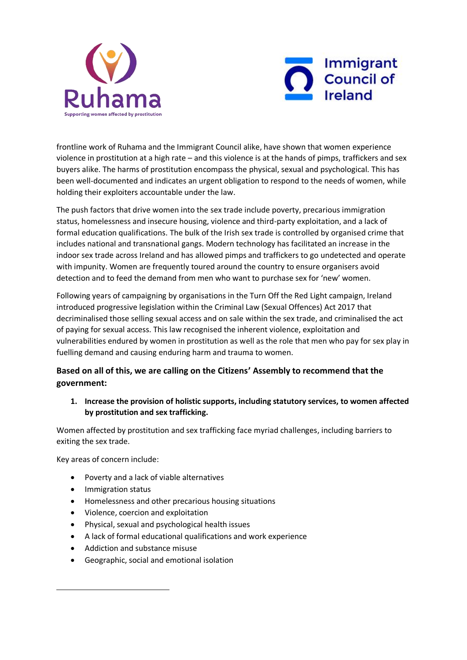



frontline work of Ruhama and the Immigrant Council alike, have shown that women experience violence in prostitution at a high rate – and this violence is at the hands of pimps, traffickers and sex buyers alike. The harms of prostitution encompass the physical, sexual and psychological. This has been well-documented and indicates an urgent obligation to respond to the needs of women, while holding their exploiters accountable under the law.

The push factors that drive women into the sex trade include poverty, precarious immigration status, homelessness and insecure housing, violence and third-party exploitation, and a lack of formal education qualifications. The bulk of the Irish sex trade is controlled by organised crime that includes national and transnational gangs. Modern technology has facilitated an increase in the indoor sex trade across Ireland and has allowed pimps and traffickers to go undetected and operate with impunity. Women are frequently toured around the country to ensure organisers avoid detection and to feed the demand from men who want to purchase sex for 'new' women.

Following years of campaigning by organisations in the Turn Off the Red Light campaign, Ireland introduced progressive legislation within the Criminal Law (Sexual Offences) Act 2017 that decriminalised those selling sexual access and on sale within the sex trade, and criminalised the act of paying for sexual access. This law recognised the inherent violence, exploitation and vulnerabilities endured by women in prostitution as well as the role that men who pay for sex play in fuelling demand and causing enduring harm and trauma to women.

## **Based on all of this, we are calling on the Citizens' Assembly to recommend that the government:**

**1. Increase the provision of holistic supports, including statutory services, to women affected by prostitution and sex trafficking.**

Women affected by prostitution and sex trafficking face myriad challenges, including barriers to exiting the sex trade.

Key areas of concern include:

- Poverty and a lack of viable alternatives
- Immigration status

-

- Homelessness and other precarious housing situations
- Violence, coercion and exploitation
- Physical, sexual and psychological health issues
- A lack of formal educational qualifications and work experience
- Addiction and substance misuse
- Geographic, social and emotional isolation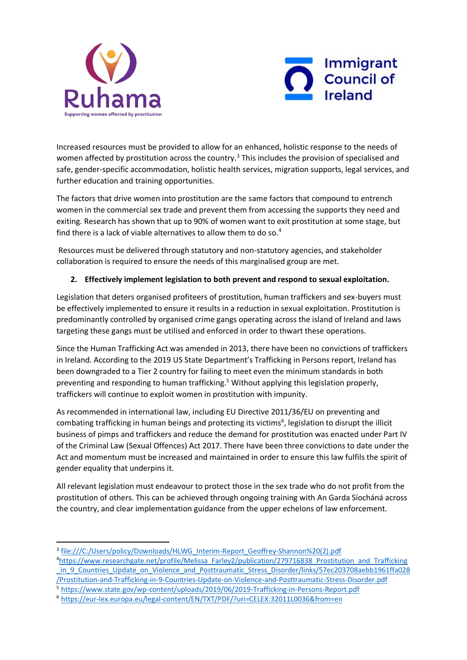



Increased resources must be provided to allow for an enhanced, holistic response to the needs of women affected by prostitution across the country.<sup>3</sup> This includes the provision of specialised and safe, gender-specific accommodation, holistic health services, migration supports, legal services, and further education and training opportunities.

The factors that drive women into prostitution are the same factors that compound to entrench women in the commercial sex trade and prevent them from accessing the supports they need and exiting. Research has shown that up to 90% of women want to exit prostitution at some stage, but find there is a lack of viable alternatives to allow them to do so.<sup>4</sup>

Resources must be delivered through statutory and non-statutory agencies, and stakeholder collaboration is required to ensure the needs of this marginalised group are met.

## **2. Effectively implement legislation to both prevent and respond to sexual exploitation.**

Legislation that deters organised profiteers of prostitution, human traffickers and sex-buyers must be effectively implemented to ensure it results in a reduction in sexual exploitation. Prostitution is predominantly controlled by organised crime gangs operating across the island of Ireland and laws targeting these gangs must be utilised and enforced in order to thwart these operations.

Since the Human Trafficking Act was amended in 2013, there have been no convictions of traffickers in Ireland. According to the 2019 US State Department's Trafficking in Persons report, Ireland has been downgraded to a Tier 2 country for failing to meet even the minimum standards in both preventing and responding to human trafficking.<sup>5</sup> Without applying this legislation properly, traffickers will continue to exploit women in prostitution with impunity.

As recommended in international law, including EU Directive 2011/36/EU on preventing and combating trafficking in human beings and protecting its victims<sup>6</sup>, legislation to disrupt the illicit business of pimps and traffickers and reduce the demand for prostitution was enacted under Part IV of the Criminal Law (Sexual Offences) Act 2017. There have been three convictions to date under the Act and momentum must be increased and maintained in order to ensure this law fulfils the spirit of gender equality that underpins it.

All relevant legislation must endeavour to protect those in the sex trade who do not profit from the prostitution of others. This can be achieved through ongoing training with An Garda Síocháná across the country, and clear implementation guidance from the upper echelons of law enforcement.

**.** 

<sup>&</sup>lt;sup>3</sup> [file:///C:/Users/policy/Downloads/HLWG\\_Interim-Report\\_Geoffrey-Shannon%20\(2\).pdf](file:///C:/Users/policy/Downloads/HLWG_Interim-Report_Geoffrey-Shannon%20(2).pdf)

<sup>4</sup>[https://www.researchgate.net/profile/Melissa\\_Farley2/publication/279716838\\_Prostitution\\_and\\_Trafficking](https://www.researchgate.net/profile/Melissa_Farley2/publication/279716838_Prostitution_and_Trafficking_in_9_Countries_Update_on_Violence_and_Posttraumatic_Stress_Disorder/links/57ec203708aebb1961ffa028/Prostitution-and-Trafficking-in-9-Countries-Update-on-Violence-and-Posttraumatic-Stress-Disorder.pdf) in\_9\_Countries\_Update\_on\_Violence\_and\_Posttraumatic\_Stress\_Disorder/links/57ec203708aebb1961ffa028 [/Prostitution-and-Trafficking-in-9-Countries-Update-on-Violence-and-Posttraumatic-Stress-Disorder.pdf](https://www.researchgate.net/profile/Melissa_Farley2/publication/279716838_Prostitution_and_Trafficking_in_9_Countries_Update_on_Violence_and_Posttraumatic_Stress_Disorder/links/57ec203708aebb1961ffa028/Prostitution-and-Trafficking-in-9-Countries-Update-on-Violence-and-Posttraumatic-Stress-Disorder.pdf) <sup>5</sup> <https://www.state.gov/wp-content/uploads/2019/06/2019-Trafficking-in-Persons-Report.pdf>

<sup>6</sup> <https://eur-lex.europa.eu/legal-content/EN/TXT/PDF/?uri=CELEX:32011L0036&from=en>